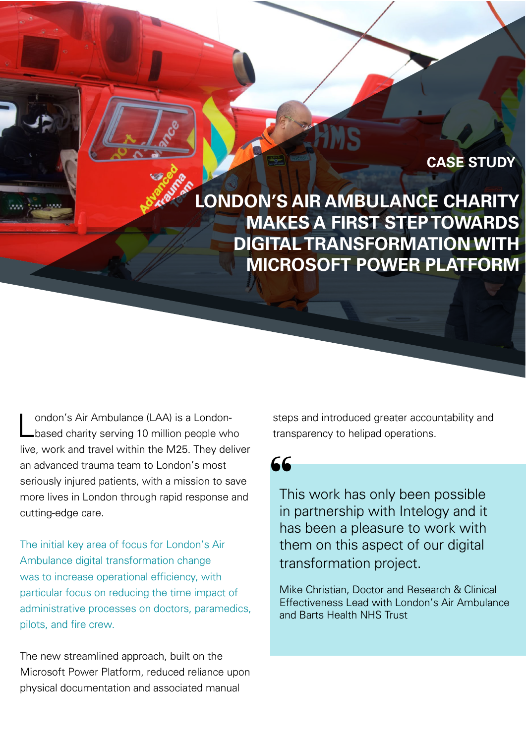**LONDON'S AIR AMBULANCE CHARITY MAKES A FIRST STEP TOWARDS DIGITAL TRANSFORMATION WITH MICROSOFT POWER PLATFORM**

**CASE STUDY**

London's Air Ambulance (LAA) is a London-based charity serving 10 million people who live, work and travel within the M25. They deliver an advanced trauma team to London's most seriously injured patients, with a mission to save more lives in London through rapid response and cutting-edge care.

The initial key area of focus for London's Air Ambulance digital transformation change was to increase operational efficiency, with particular focus on reducing the time impact of administrative processes on doctors, paramedics, pilots, and fire crew.

The new streamlined approach, built on the Microsoft Power Platform, reduced reliance upon physical documentation and associated manual

steps and introduced greater accountability and transparency to helipad operations.

66

This work has only been possible in partnership with Intelogy and it has been a pleasure to work with them on this aspect of our digital transformation project.

Mike Christian, Doctor and Research & Clinical Effectiveness Lead with London's Air Ambulance and Barts Health NHS Trust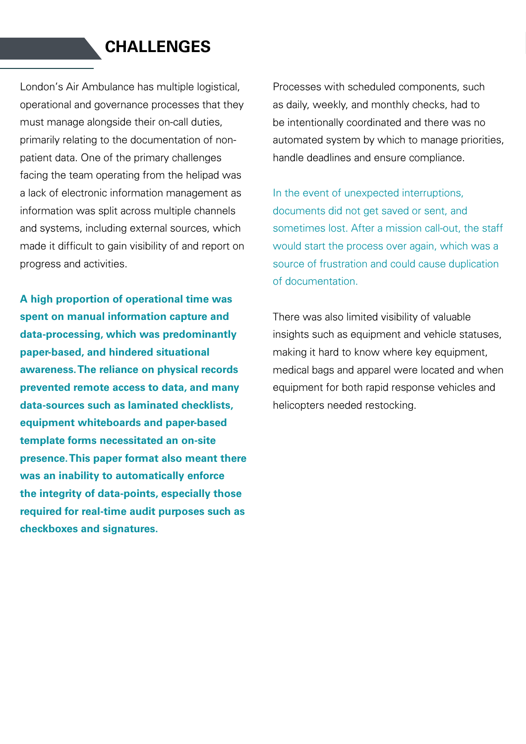## **CHALLENGES**

London's Air Ambulance has multiple logistical, operational and governance processes that they must manage alongside their on-call duties, primarily relating to the documentation of nonpatient data. One of the primary challenges facing the team operating from the helipad was a lack of electronic information management as information was split across multiple channels and systems, including external sources, which made it difficult to gain visibility of and report on progress and activities.

**A high proportion of operational time was spent on manual information capture and data-processing, which was predominantly paper-based, and hindered situational awareness. The reliance on physical records prevented remote access to data, and many data-sources such as laminated checklists, equipment whiteboards and paper-based template forms necessitated an on-site presence. This paper format also meant there was an inability to automatically enforce the integrity of data-points, especially those required for real-time audit purposes such as checkboxes and signatures.**

Processes with scheduled components, such as daily, weekly, and monthly checks, had to be intentionally coordinated and there was no automated system by which to manage priorities, handle deadlines and ensure compliance.

In the event of unexpected interruptions, documents did not get saved or sent, and sometimes lost. After a mission call-out, the staff would start the process over again, which was a source of frustration and could cause duplication of documentation.

There was also limited visibility of valuable insights such as equipment and vehicle statuses, making it hard to know where key equipment, medical bags and apparel were located and when equipment for both rapid response vehicles and helicopters needed restocking.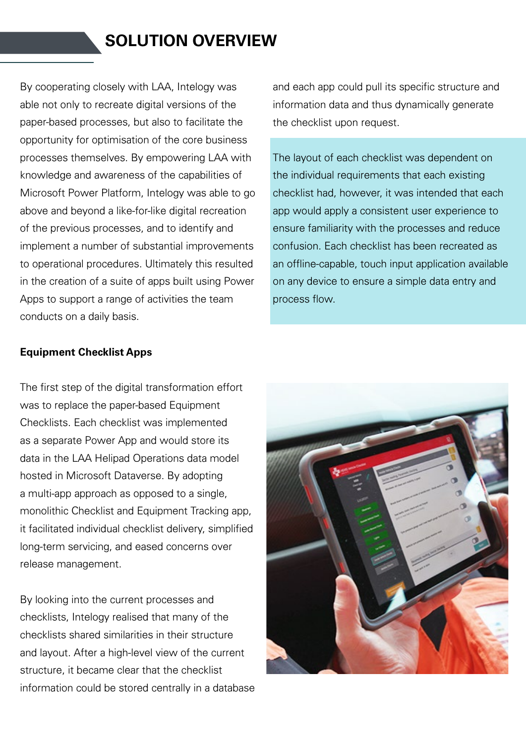# **SOLUTION OVERVIEW**

By cooperating closely with LAA, Intelogy was able not only to recreate digital versions of the paper-based processes, but also to facilitate the opportunity for optimisation of the core business processes themselves. By empowering LAA with knowledge and awareness of the capabilities of Microsoft Power Platform, Intelogy was able to go above and beyond a like-for-like digital recreation of the previous processes, and to identify and implement a number of substantial improvements to operational procedures. Ultimately this resulted in the creation of a suite of apps built using Power Apps to support a range of activities the team conducts on a daily basis.

and each app could pull its specific structure and information data and thus dynamically generate the checklist upon request.

The layout of each checklist was dependent on the individual requirements that each existing checklist had, however, it was intended that each app would apply a consistent user experience to ensure familiarity with the processes and reduce confusion. Each checklist has been recreated as an offline-capable, touch input application available on any device to ensure a simple data entry and process flow.

#### **Equipment Checklist Apps**

The first step of the digital transformation effort was to replace the paper-based Equipment Checklists. Each checklist was implemented as a separate Power App and would store its data in the LAA Helipad Operations data model hosted in Microsoft Dataverse. By adopting a multi-app approach as opposed to a single, monolithic Checklist and Equipment Tracking app, it facilitated individual checklist delivery, simplified long-term servicing, and eased concerns over release management.

By looking into the current processes and checklists, Intelogy realised that many of the checklists shared similarities in their structure and layout. After a high-level view of the current structure, it became clear that the checklist information could be stored centrally in a database

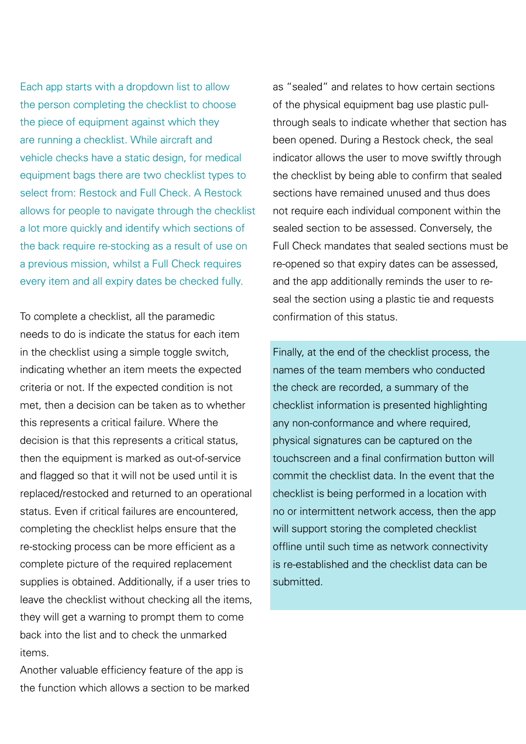Each app starts with a dropdown list to allow the person completing the checklist to choose the piece of equipment against which they are running a checklist. While aircraft and vehicle checks have a static design, for medical equipment bags there are two checklist types to select from: Restock and Full Check. A Restock allows for people to navigate through the checklist a lot more quickly and identify which sections of the back require re-stocking as a result of use on a previous mission, whilst a Full Check requires every item and all expiry dates be checked fully.

To complete a checklist, all the paramedic needs to do is indicate the status for each item in the checklist using a simple toggle switch, indicating whether an item meets the expected criteria or not. If the expected condition is not met, then a decision can be taken as to whether this represents a critical failure. Where the decision is that this represents a critical status, then the equipment is marked as out-of-service and flagged so that it will not be used until it is replaced/restocked and returned to an operational status. Even if critical failures are encountered, completing the checklist helps ensure that the re-stocking process can be more efficient as a complete picture of the required replacement supplies is obtained. Additionally, if a user tries to leave the checklist without checking all the items, they will get a warning to prompt them to come back into the list and to check the unmarked items.

Another valuable efficiency feature of the app is the function which allows a section to be marked as "sealed" and relates to how certain sections of the physical equipment bag use plastic pullthrough seals to indicate whether that section has been opened. During a Restock check, the seal indicator allows the user to move swiftly through the checklist by being able to confirm that sealed sections have remained unused and thus does not require each individual component within the sealed section to be assessed. Conversely, the Full Check mandates that sealed sections must be re-opened so that expiry dates can be assessed, and the app additionally reminds the user to reseal the section using a plastic tie and requests confirmation of this status.

Finally, at the end of the checklist process, the names of the team members who conducted the check are recorded, a summary of the checklist information is presented highlighting any non-conformance and where required, physical signatures can be captured on the touchscreen and a final confirmation button will commit the checklist data. In the event that the checklist is being performed in a location with no or intermittent network access, then the app will support storing the completed checklist offline until such time as network connectivity is re-established and the checklist data can be submitted.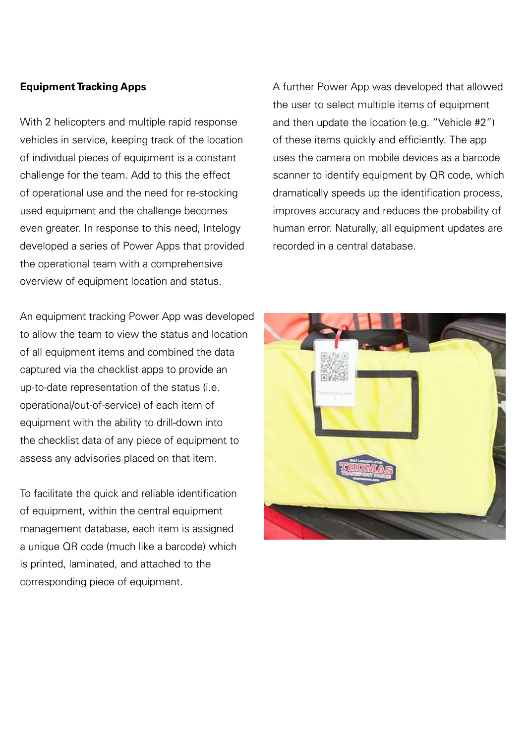### **Equipment Tracking Apps**

With 2 helicopters and multiple rapid response vehicles in service, keeping track of the location of individual pieces of equipment is a constant challenge for the team. Add to this the effect of operational use and the need for re-stocking used equipment and the challenge becomes even greater. In response to this need, Intelogy developed a series of Power Apps that provided the operational team with a comprehensive overview of equipment location and status.

An equipment tracking Power App was developed to allow the team to view the status and location of all equipment items and combined the data captured via the checklist apps to provide an up-to-date representation of the status (i.e. operational/out-of-service) of each item of equipment with the ability to drill-down into the checklist data of any piece of equipment to assess any advisories placed on that item.

To facilitate the quick and reliable identification of equipment, within the central equipment management database, each item is assigned a unique QR code (much like a barcode) which is printed, laminated, and attached to the corresponding piece of equipment.

A further Power App was developed that allowed the user to select multiple items of equipment and then update the location (e.g. "Vehicle #2") of these items quickly and efficiently. The app uses the camera on mobile devices as a barcode scanner to identify equipment by QR code, which dramatically speeds up the identification process, improves accuracy and reduces the probability of human error. Naturally, all equipment updates are recorded in a central database.

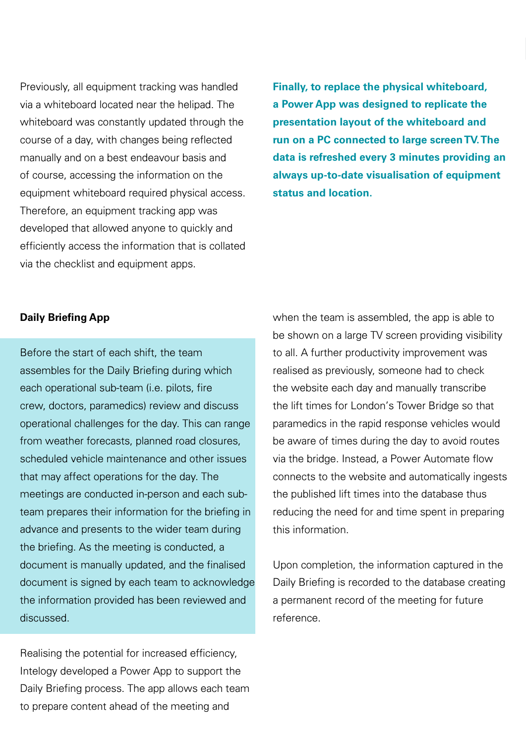Previously, all equipment tracking was handled via a whiteboard located near the helipad. The whiteboard was constantly updated through the course of a day, with changes being reflected manually and on a best endeavour basis and of course, accessing the information on the equipment whiteboard required physical access. Therefore, an equipment tracking app was developed that allowed anyone to quickly and efficiently access the information that is collated via the checklist and equipment apps.

**Finally, to replace the physical whiteboard, a Power App was designed to replicate the presentation layout of the whiteboard and run on a PC connected to large screen TV. The data is refreshed every 3 minutes providing an always up-to-date visualisation of equipment status and location.**

#### **Daily Briefing App**

Before the start of each shift, the team assembles for the Daily Briefing during which each operational sub-team (i.e. pilots, fire crew, doctors, paramedics) review and discuss operational challenges for the day. This can range from weather forecasts, planned road closures, scheduled vehicle maintenance and other issues that may affect operations for the day. The meetings are conducted in-person and each subteam prepares their information for the briefing in advance and presents to the wider team during the briefing. As the meeting is conducted, a document is manually updated, and the finalised document is signed by each team to acknowledge the information provided has been reviewed and discussed.

Realising the potential for increased efficiency, Intelogy developed a Power App to support the Daily Briefing process. The app allows each team to prepare content ahead of the meeting and

when the team is assembled, the app is able to be shown on a large TV screen providing visibility to all. A further productivity improvement was realised as previously, someone had to check the website each day and manually transcribe the lift times for London's Tower Bridge so that paramedics in the rapid response vehicles would be aware of times during the day to avoid routes via the bridge. Instead, a Power Automate flow connects to the website and automatically ingests the published lift times into the database thus reducing the need for and time spent in preparing this information.

Upon completion, the information captured in the Daily Briefing is recorded to the database creating a permanent record of the meeting for future reference.